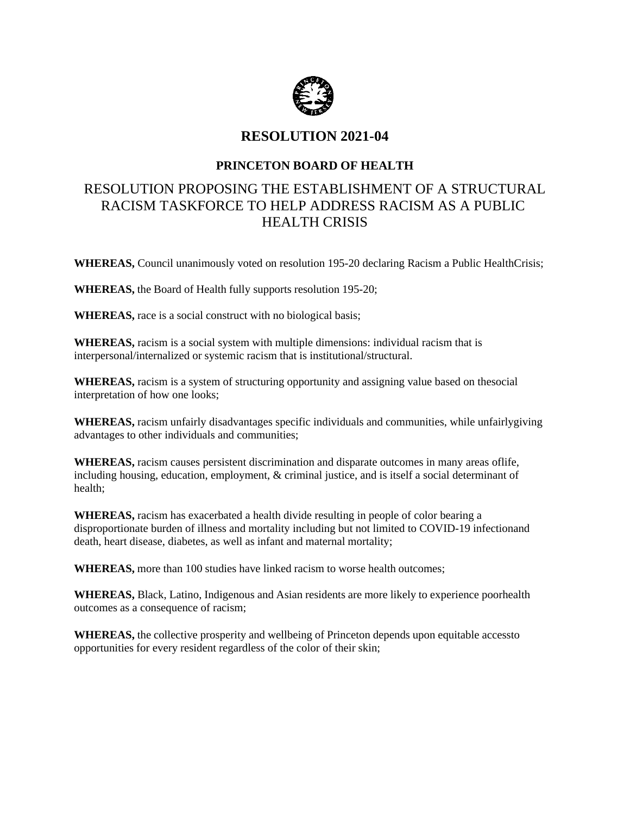

## **RESOLUTION 2021-04**

### **PRINCETON BOARD OF HEALTH**

# RESOLUTION PROPOSING THE ESTABLISHMENT OF A STRUCTURAL RACISM TASKFORCE TO HELP ADDRESS RACISM AS A PUBLIC HEALTH CRISIS

**WHEREAS,** Council unanimously voted on resolution 195-20 declaring Racism a Public HealthCrisis;

**WHEREAS,** the Board of Health fully supports resolution 195-20;

**WHEREAS,** race is a social construct with no biological basis;

**WHEREAS,** racism is a social system with multiple dimensions: individual racism that is interpersonal/internalized or systemic racism that is institutional/structural.

**WHEREAS,** racism is a system of structuring opportunity and assigning value based on thesocial interpretation of how one looks;

**WHEREAS,** racism unfairly disadvantages specific individuals and communities, while unfairlygiving advantages to other individuals and communities;

**WHEREAS,** racism causes persistent discrimination and disparate outcomes in many areas oflife, including housing, education, employment, & criminal justice, and is itself a social determinant of health;

**WHEREAS,** racism has exacerbated a health divide resulting in people of color bearing a disproportionate burden of illness and mortality including but not limited to COVID-19 infectionand death, heart disease, diabetes, as well as infant and maternal mortality;

**WHEREAS,** more than 100 studies have linked racism to worse health outcomes;

**WHEREAS,** Black, Latino, Indigenous and Asian residents are more likely to experience poorhealth outcomes as a consequence of racism;

**WHEREAS,** the collective prosperity and wellbeing of Princeton depends upon equitable accessto opportunities for every resident regardless of the color of their skin;